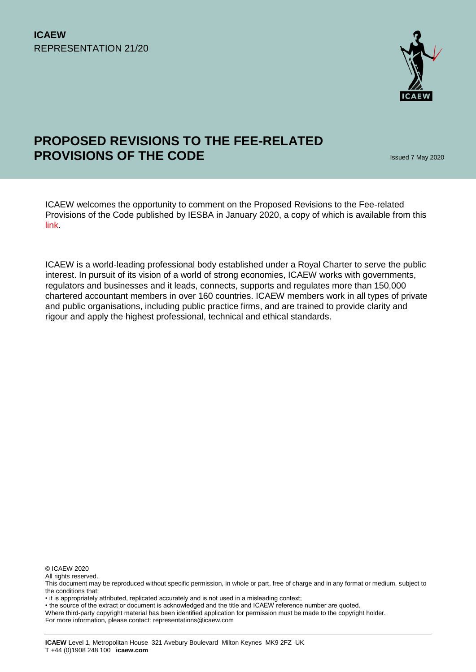

# **PROPOSED REVISIONS TO THE FEE-RELATED PROVISIONS OF THE CODE ISSUED ASSAULTED A CONSTRUCT A CONSTRUCT A CONSTRUCT A CONSTRUCT A CONSTRUCT A CONSTRUCT A CONSTRUCT A CONSTRUCT A CONSTRUCT A CONSTRUCT A CONSTRUCT A CONSTRUCT A CONSTRUCT A CONSTRUCT A CONSTRUCT**

ICAEW welcomes the opportunity to comment on the Proposed Revisions to the Fee-related Provisions of the Code published by IESBA in January 2020, a copy of which is available from this [link.](https://www.ethicsboard.org/publications/proposed-revisions-fee-related-provisions-code)

ICAEW is a world-leading professional body established under a Royal Charter to serve the public interest. In pursuit of its vision of a world of strong economies, ICAEW works with governments, regulators and businesses and it leads, connects, supports and regulates more than 150,000 chartered accountant members in over 160 countries. ICAEW members work in all types of private and public organisations, including public practice firms, and are trained to provide clarity and rigour and apply the highest professional, technical and ethical standards.

© ICAEW 2020

All rights reserved

This document may be reproduced without specific permission, in whole or part, free of charge and in any format or medium, subject to the conditions that:

• it is appropriately attributed, replicated accurately and is not used in a misleading context;

• the source of the extract or document is acknowledged and the title and ICAEW reference number are quoted.

Where third-party copyright material has been identified application for permission must be made to the copyright holder.

For more information, please contact: representations@icaew.com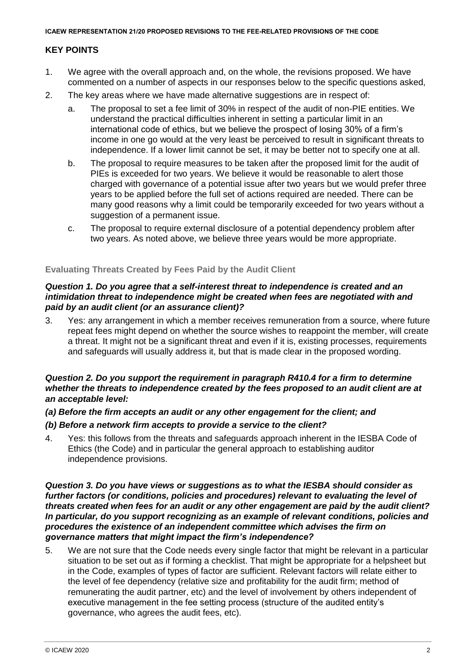# **KEY POINTS**

- 1. We agree with the overall approach and, on the whole, the revisions proposed. We have commented on a number of aspects in our responses below to the specific questions asked,
- 2. The key areas where we have made alternative suggestions are in respect of:
	- a. The proposal to set a fee limit of 30% in respect of the audit of non-PIE entities. We understand the practical difficulties inherent in setting a particular limit in an international code of ethics, but we believe the prospect of losing 30% of a firm's income in one go would at the very least be perceived to result in significant threats to independence. If a lower limit cannot be set, it may be better not to specify one at all.
	- b. The proposal to require measures to be taken after the proposed limit for the audit of PIEs is exceeded for two years. We believe it would be reasonable to alert those charged with governance of a potential issue after two years but we would prefer three years to be applied before the full set of actions required are needed. There can be many good reasons why a limit could be temporarily exceeded for two years without a suggestion of a permanent issue.
	- c. The proposal to require external disclosure of a potential dependency problem after two years. As noted above, we believe three years would be more appropriate.

# **Evaluating Threats Created by Fees Paid by the Audit Client**

#### *Question 1. Do you agree that a self-interest threat to independence is created and an intimidation threat to independence might be created when fees are negotiated with and paid by an audit client (or an assurance client)?*

3. Yes: any arrangement in which a member receives remuneration from a source, where future repeat fees might depend on whether the source wishes to reappoint the member, will create a threat. It might not be a significant threat and even if it is, existing processes, requirements and safeguards will usually address it, but that is made clear in the proposed wording.

#### *Question 2. Do you support the requirement in paragraph R410.4 for a firm to determine whether the threats to independence created by the fees proposed to an audit client are at an acceptable level:*

#### *(a) Before the firm accepts an audit or any other engagement for the client; and*

# *(b) Before a network firm accepts to provide a service to the client?*

4. Yes: this follows from the threats and safeguards approach inherent in the IESBA Code of Ethics (the Code) and in particular the general approach to establishing auditor independence provisions.

#### *Question 3. Do you have views or suggestions as to what the IESBA should consider as further factors (or conditions, policies and procedures) relevant to evaluating the level of threats created when fees for an audit or any other engagement are paid by the audit client? In particular, do you support recognizing as an example of relevant conditions, policies and procedures the existence of an independent committee which advises the firm on governance matters that might impact the firm's independence?*

5. We are not sure that the Code needs every single factor that might be relevant in a particular situation to be set out as if forming a checklist. That might be appropriate for a helpsheet but in the Code, examples of types of factor are sufficient. Relevant factors will relate either to the level of fee dependency (relative size and profitability for the audit firm; method of remunerating the audit partner, etc) and the level of involvement by others independent of executive management in the fee setting process (structure of the audited entity's governance, who agrees the audit fees, etc).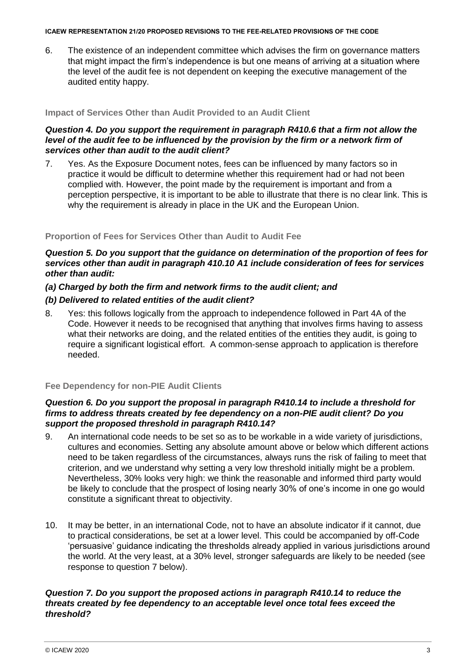6. The existence of an independent committee which advises the firm on governance matters that might impact the firm's independence is but one means of arriving at a situation where the level of the audit fee is not dependent on keeping the executive management of the audited entity happy.

#### **Impact of Services Other than Audit Provided to an Audit Client**

# *Question 4. Do you support the requirement in paragraph R410.6 that a firm not allow the*  level of the audit fee to be influenced by the provision by the firm or a network firm of *services other than audit to the audit client?*

7. Yes. As the Exposure Document notes, fees can be influenced by many factors so in practice it would be difficult to determine whether this requirement had or had not been complied with. However, the point made by the requirement is important and from a perception perspective, it is important to be able to illustrate that there is no clear link. This is why the requirement is already in place in the UK and the European Union.

#### **Proportion of Fees for Services Other than Audit to Audit Fee**

# *Question 5. Do you support that the guidance on determination of the proportion of fees for services other than audit in paragraph 410.10 A1 include consideration of fees for services other than audit:*

# *(a) Charged by both the firm and network firms to the audit client; and*

# *(b) Delivered to related entities of the audit client?*

8. Yes: this follows logically from the approach to independence followed in Part 4A of the Code. However it needs to be recognised that anything that involves firms having to assess what their networks are doing, and the related entities of the entities they audit, is going to require a significant logistical effort. A common-sense approach to application is therefore needed.

# **Fee Dependency for non-PIE Audit Clients**

# *Question 6. Do you support the proposal in paragraph R410.14 to include a threshold for firms to address threats created by fee dependency on a non-PIE audit client? Do you support the proposed threshold in paragraph R410.14?*

- 9. An international code needs to be set so as to be workable in a wide variety of jurisdictions, cultures and economies. Setting any absolute amount above or below which different actions need to be taken regardless of the circumstances, always runs the risk of failing to meet that criterion, and we understand why setting a very low threshold initially might be a problem. Nevertheless, 30% looks very high: we think the reasonable and informed third party would be likely to conclude that the prospect of losing nearly 30% of one's income in one go would constitute a significant threat to objectivity.
- 10. It may be better, in an international Code, not to have an absolute indicator if it cannot, due to practical considerations, be set at a lower level. This could be accompanied by off-Code 'persuasive' guidance indicating the thresholds already applied in various jurisdictions around the world. At the very least, at a 30% level, stronger safeguards are likely to be needed (see response to question 7 below).

# *Question 7. Do you support the proposed actions in paragraph R410.14 to reduce the threats created by fee dependency to an acceptable level once total fees exceed the threshold?*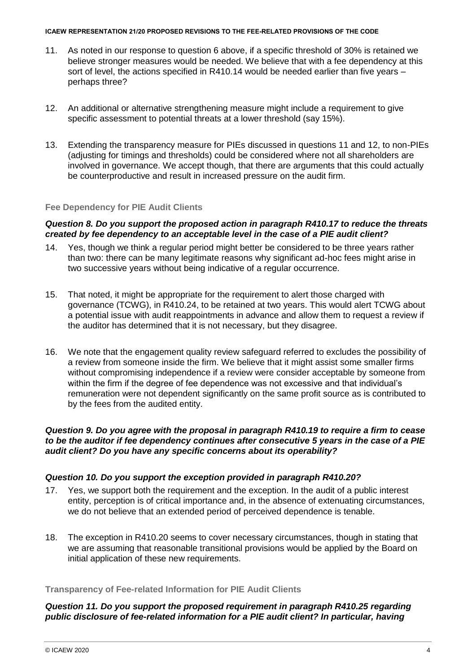- 11. As noted in our response to question 6 above, if a specific threshold of 30% is retained we believe stronger measures would be needed. We believe that with a fee dependency at this sort of level, the actions specified in R410.14 would be needed earlier than five years – perhaps three?
- 12. An additional or alternative strengthening measure might include a requirement to give specific assessment to potential threats at a lower threshold (say 15%).
- 13. Extending the transparency measure for PIEs discussed in questions 11 and 12, to non-PIEs (adjusting for timings and thresholds) could be considered where not all shareholders are involved in governance. We accept though, that there are arguments that this could actually be counterproductive and result in increased pressure on the audit firm.

#### **Fee Dependency for PIE Audit Clients**

#### *Question 8. Do you support the proposed action in paragraph R410.17 to reduce the threats created by fee dependency to an acceptable level in the case of a PIE audit client?*

- 14. Yes, though we think a regular period might better be considered to be three years rather than two: there can be many legitimate reasons why significant ad-hoc fees might arise in two successive years without being indicative of a regular occurrence.
- 15. That noted, it might be appropriate for the requirement to alert those charged with governance (TCWG), in R410.24, to be retained at two years. This would alert TCWG about a potential issue with audit reappointments in advance and allow them to request a review if the auditor has determined that it is not necessary, but they disagree.
- 16. We note that the engagement quality review safeguard referred to excludes the possibility of a review from someone inside the firm. We believe that it might assist some smaller firms without compromising independence if a review were consider acceptable by someone from within the firm if the degree of fee dependence was not excessive and that individual's remuneration were not dependent significantly on the same profit source as is contributed to by the fees from the audited entity.

# *Question 9. Do you agree with the proposal in paragraph R410.19 to require a firm to cease to be the auditor if fee dependency continues after consecutive 5 years in the case of a PIE audit client? Do you have any specific concerns about its operability?*

# *Question 10. Do you support the exception provided in paragraph R410.20?*

- 17. Yes, we support both the requirement and the exception. In the audit of a public interest entity, perception is of critical importance and, in the absence of extenuating circumstances, we do not believe that an extended period of perceived dependence is tenable.
- 18. The exception in R410.20 seems to cover necessary circumstances, though in stating that we are assuming that reasonable transitional provisions would be applied by the Board on initial application of these new requirements.

#### **Transparency of Fee-related Information for PIE Audit Clients**

#### *Question 11. Do you support the proposed requirement in paragraph R410.25 regarding public disclosure of fee-related information for a PIE audit client? In particular, having*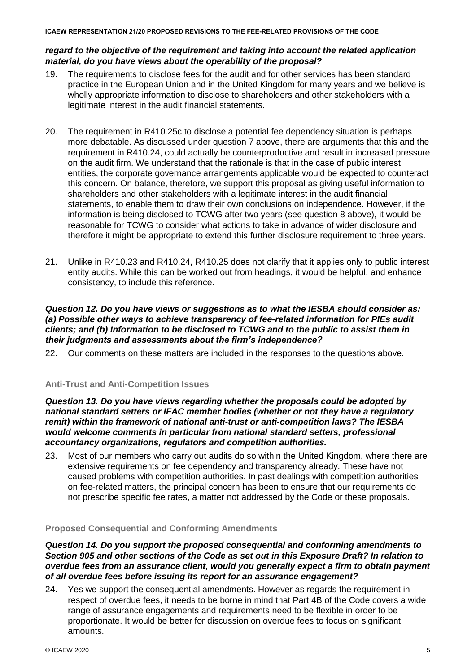# *regard to the objective of the requirement and taking into account the related application material, do you have views about the operability of the proposal?*

- 19. The requirements to disclose fees for the audit and for other services has been standard practice in the European Union and in the United Kingdom for many years and we believe is wholly appropriate information to disclose to shareholders and other stakeholders with a legitimate interest in the audit financial statements.
- 20. The requirement in R410.25c to disclose a potential fee dependency situation is perhaps more debatable. As discussed under question 7 above, there are arguments that this and the requirement in R410.24, could actually be counterproductive and result in increased pressure on the audit firm. We understand that the rationale is that in the case of public interest entities, the corporate governance arrangements applicable would be expected to counteract this concern. On balance, therefore, we support this proposal as giving useful information to shareholders and other stakeholders with a legitimate interest in the audit financial statements, to enable them to draw their own conclusions on independence. However, if the information is being disclosed to TCWG after two years (see question 8 above), it would be reasonable for TCWG to consider what actions to take in advance of wider disclosure and therefore it might be appropriate to extend this further disclosure requirement to three years.
- 21. Unlike in R410.23 and R410.24, R410.25 does not clarify that it applies only to public interest entity audits. While this can be worked out from headings, it would be helpful, and enhance consistency, to include this reference.

# *Question 12. Do you have views or suggestions as to what the IESBA should consider as: (a) Possible other ways to achieve transparency of fee-related information for PIEs audit clients; and (b) Information to be disclosed to TCWG and to the public to assist them in their judgments and assessments about the firm's independence?*

22. Our comments on these matters are included in the responses to the questions above.

# **Anti-Trust and Anti-Competition Issues**

*Question 13. Do you have views regarding whether the proposals could be adopted by national standard setters or IFAC member bodies (whether or not they have a regulatory remit) within the framework of national anti-trust or anti-competition laws? The IESBA would welcome comments in particular from national standard setters, professional accountancy organizations, regulators and competition authorities.* 

23. Most of our members who carry out audits do so within the United Kingdom, where there are extensive requirements on fee dependency and transparency already. These have not caused problems with competition authorities. In past dealings with competition authorities on fee-related matters, the principal concern has been to ensure that our requirements do not prescribe specific fee rates, a matter not addressed by the Code or these proposals.

# **Proposed Consequential and Conforming Amendments**

*Question 14. Do you support the proposed consequential and conforming amendments to Section 905 and other sections of the Code as set out in this Exposure Draft? In relation to overdue fees from an assurance client, would you generally expect a firm to obtain payment of all overdue fees before issuing its report for an assurance engagement?* 

24. Yes we support the consequential amendments. However as regards the requirement in respect of overdue fees, it needs to be borne in mind that Part 4B of the Code covers a wide range of assurance engagements and requirements need to be flexible in order to be proportionate. It would be better for discussion on overdue fees to focus on significant amounts.